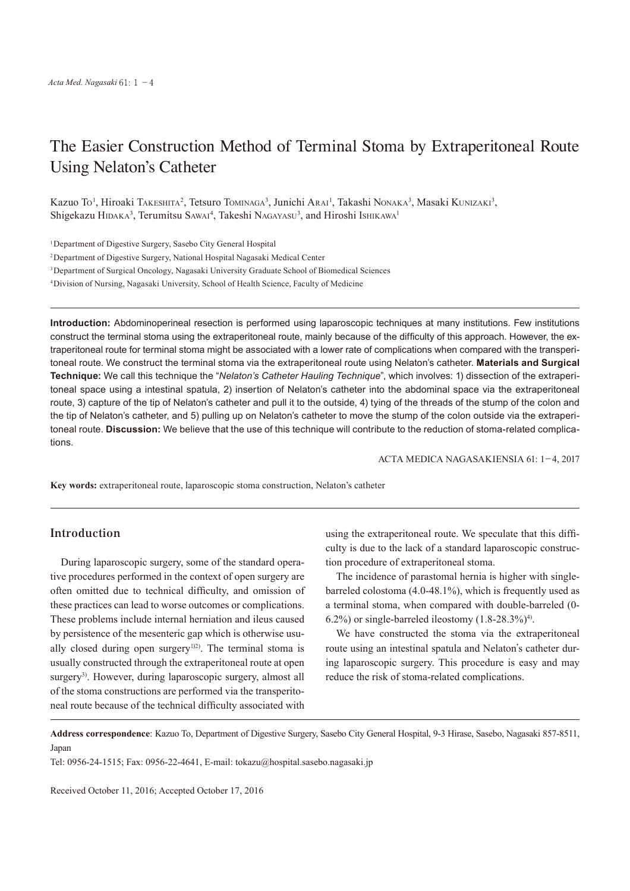# The Easier Construction Method of Terminal Stoma by Extraperitoneal Route Using Nelaton's Catheter

Kazuo To<sup>1</sup>, Hiroaki Takeshita<sup>2</sup>, Tetsuro Tominaga<sup>3</sup>, Junichi Arai<sup>1</sup>, Takashi Nonaka<sup>3</sup>, Masaki Kunizaki<sup>3</sup>, Shigekazu HIDAKA<sup>3</sup>, Terumitsu SAWAI<sup>4</sup>, Takeshi NAGAYASU<sup>3</sup>, and Hiroshi IshikAWA<sup>1</sup>

<sup>1</sup>Department of Digestive Surgery, Sasebo City General Hospital

2Department of Digestive Surgery, National Hospital Nagasaki Medical Center

3Department of Surgical Oncology, Nagasaki University Graduate School of Biomedical Sciences

4Division of Nursing, Nagasaki University, School of Health Science, Faculty of Medicine

**Introduction:** Abdominoperineal resection is performed using laparoscopic techniques at many institutions. Few institutions construct the terminal stoma using the extraperitoneal route, mainly because of the difficulty of this approach. However, the extraperitoneal route for terminal stoma might be associated with a lower rate of complications when compared with the transperitoneal route. We construct the terminal stoma via the extraperitoneal route using Nelaton's catheter. **Materials and Surgical Technique:** We call this technique the "*Nelaton's Catheter Hauling Technique*", which involves: 1) dissection of the extraperitoneal space using a intestinal spatula, 2) insertion of Nelaton's catheter into the abdominal space via the extraperitoneal route, 3) capture of the tip of Nelaton's catheter and pull it to the outside, 4) tying of the threads of the stump of the colon and the tip of Nelaton's catheter, and 5) pulling up on Nelaton's catheter to move the stump of the colon outside via the extraperitoneal route. **Discussion:** We believe that the use of this technique will contribute to the reduction of stoma-related complications.

ACTA MEDICA NAGASAKIENSIA 61: 1−4, 2017

**Key words:** extraperitoneal route, laparoscopic stoma construction, Nelaton's catheter

### **Introduction**

During laparoscopic surgery, some of the standard operative procedures performed in the context of open surgery are often omitted due to technical difficulty, and omission of these practices can lead to worse outcomes or complications. These problems include internal herniation and ileus caused by persistence of the mesenteric gap which is otherwise usually closed during open surgery<sup>1)2)</sup>. The terminal stoma is usually constructed through the extraperitoneal route at open surgery<sup>3)</sup>. However, during laparoscopic surgery, almost all of the stoma constructions are performed via the transperitoneal route because of the technical difficulty associated with

using the extraperitoneal route. We speculate that this difficulty is due to the lack of a standard laparoscopic construction procedure of extraperitoneal stoma.

The incidence of parastomal hernia is higher with singlebarreled colostoma (4.0-48.1%), which is frequently used as a terminal stoma, when compared with double-barreled (0- 6.2%) or single-barreled ileostomy  $(1.8-28.3\%)^4$ .

We have constructed the stoma via the extraperitoneal route using an intestinal spatula and Nelaton's catheter during laparoscopic surgery. This procedure is easy and may reduce the risk of stoma-related complications.

**Address correspondence**: Kazuo To, Department of Digestive Surgery, Sasebo City General Hospital, 9-3 Hirase, Sasebo, Nagasaki 857-8511, Japan

Tel: 0956-24-1515; Fax: 0956-22-4641, E-mail: tokazu@hospital.sasebo.nagasaki.jp

Received October 11, 2016; Accepted October 17, 2016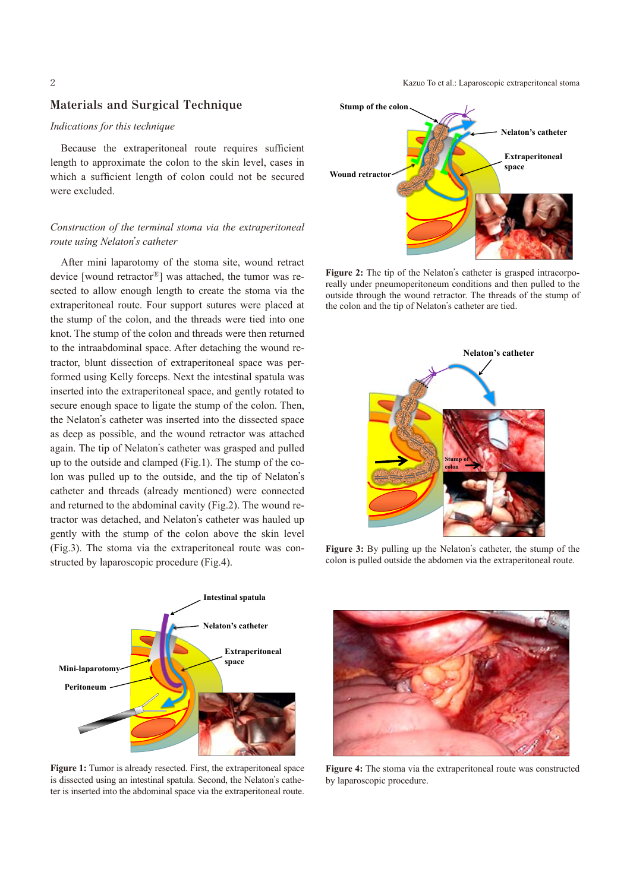#### **Materials and Surgical Technique**

#### *Indications for this technique*

Because the extraperitoneal route requires sufficient length to approximate the colon to the skin level, cases in which a sufficient length of colon could not be secured were excluded.

#### *Construction of the terminal stoma via the extraperitoneal route using Nelaton*'*s catheter*

After mini laparotomy of the stoma site, wound retract device [wound retractor<sup>®</sup>] was attached, the tumor was resected to allow enough length to create the stoma via the extraperitoneal route. Four support sutures were placed at the stump of the colon, and the threads were tied into one knot. The stump of the colon and threads were then returned to the intraabdominal space. After detaching the wound retractor, blunt dissection of extraperitoneal space was performed using Kelly forceps. Next the intestinal spatula was inserted into the extraperitoneal space, and gently rotated to secure enough space to ligate the stump of the colon. Then, the Nelaton's catheter was inserted into the dissected space as deep as possible, and the wound retractor was attached again. The tip of Nelaton's catheter was grasped and pulled up to the outside and clamped (Fig.1). The stump of the colon was pulled up to the outside, and the tip of Nelaton's catheter and threads (already mentioned) were connected and returned to the abdominal cavity (Fig.2). The wound retractor was detached, and Nelaton's catheter was hauled up gently with the stump of the colon above the skin level (Fig.3). The stoma via the extraperitoneal route was constructed by laparoscopic procedure (Fig.4).



**Figure 1:** Tumor is already resected. First, the extraperitoneal space is dissected using an intestinal spatula. Second, the Nelaton's catheter is inserted into the abdominal space via the extraperitoneal route.

2 Kazuo To et al.: Laparoscopic extraperitoneal stoma



**Figure 2:** The tip of the Nelaton's catheter is grasped intracorporeally under pneumoperitoneum conditions and then pulled to the outside through the wound retractor. The threads of the stump of the colon and the tip of Nelaton's catheter are tied.



**Figure 3:** By pulling up the Nelaton's catheter, the stump of the colon is pulled outside the abdomen via the extraperitoneal route.



**Figure 4:** The stoma via the extraperitoneal route was constructed by laparoscopic procedure.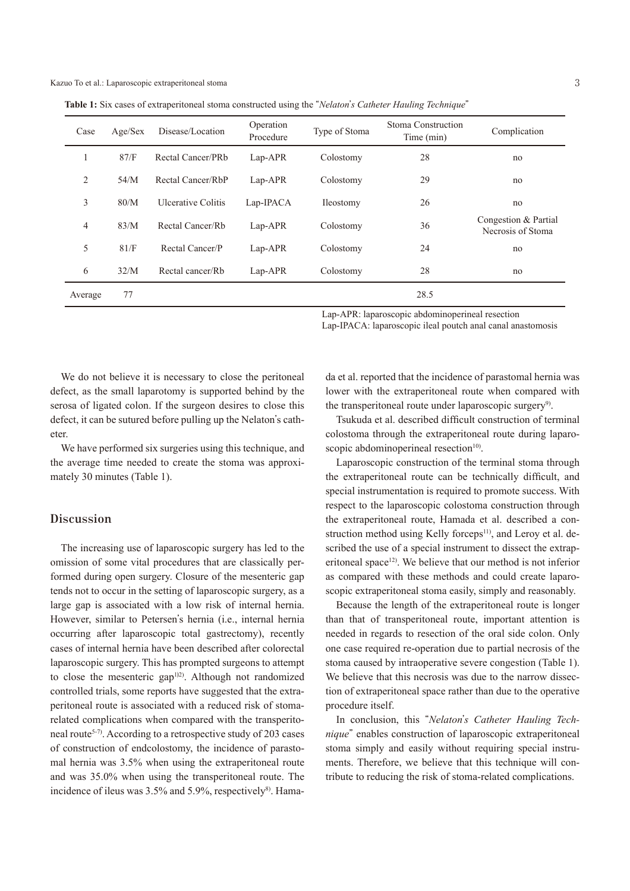**Table 1:** Six cases of extraperitoneal stoma constructed using the "*Nelaton*'*s Catheter Hauling Technique*"

| Case           | Age/Sex | Disease/Location          | Operation<br>Procedure | Type of Stoma | Stoma Construction<br>Time (min) | Complication                              |
|----------------|---------|---------------------------|------------------------|---------------|----------------------------------|-------------------------------------------|
|                | 87/F    | Rectal Cancer/PRb         | $Lap-APR$              | Colostomy     | 28                               | no                                        |
| 2              | 54/M    | Rectal Cancer/RbP         | $Lap-APR$              | Colostomy     | 29                               | no                                        |
| 3              | 80/M    | <b>Ulcerative Colitis</b> | Lap-IPACA              | Ileostomy     | 26                               | no                                        |
| $\overline{4}$ | 83/M    | Rectal Cancer/Rb          | $Lap-APR$              | Colostomy     | 36                               | Congestion & Partial<br>Necrosis of Stoma |
| 5              | 81/F    | Rectal Cancer/P           | $Lap-APR$              | Colostomy     | 24                               | no                                        |
| 6              | 32/M    | Rectal cancer/Rb          | $Lap-APR$              | Colostomy     | 28                               | no                                        |
| Average        | 77      |                           |                        |               | 28.5                             |                                           |

Lap-APR: laparoscopic abdominoperineal resection Lap-IPACA: laparoscopic ileal poutch anal canal anastomosis

We do not believe it is necessary to close the peritoneal defect, as the small laparotomy is supported behind by the serosa of ligated colon. If the surgeon desires to close this defect, it can be sutured before pulling up the Nelaton's catheter.

We have performed six surgeries using this technique, and the average time needed to create the stoma was approximately 30 minutes (Table 1).

#### **Discussion**

The increasing use of laparoscopic surgery has led to the omission of some vital procedures that are classically performed during open surgery. Closure of the mesenteric gap tends not to occur in the setting of laparoscopic surgery, as a large gap is associated with a low risk of internal hernia. However, similar to Petersen's hernia (i.e., internal hernia occurring after laparoscopic total gastrectomy), recently cases of internal hernia have been described after colorectal laparoscopic surgery. This has prompted surgeons to attempt to close the mesenteric gap<sup>1)2)</sup>. Although not randomized controlled trials, some reports have suggested that the extraperitoneal route is associated with a reduced risk of stomarelated complications when compared with the transperitoneal route<sup>5-7)</sup>. According to a retrospective study of 203 cases of construction of endcolostomy, the incidence of parastomal hernia was 3.5% when using the extraperitoneal route and was 35.0% when using the transperitoneal route. The incidence of ileus was 3.5% and 5.9%, respectively<sup>8)</sup>. Hamada et al. reported that the incidence of parastomal hernia was lower with the extraperitoneal route when compared with the transperitoneal route under laparoscopic surgery<sup>9)</sup>.

Tsukuda et al. described difficult construction of terminal colostoma through the extraperitoneal route during laparoscopic abdominoperineal resection<sup>10)</sup>.

Laparoscopic construction of the terminal stoma through the extraperitoneal route can be technically difficult, and special instrumentation is required to promote success. With respect to the laparoscopic colostoma construction through the extraperitoneal route, Hamada et al. described a construction method using Kelly forceps<sup>11</sup>, and Leroy et al. described the use of a special instrument to dissect the extraperitoneal space<sup>12)</sup>. We believe that our method is not inferior as compared with these methods and could create laparoscopic extraperitoneal stoma easily, simply and reasonably.

Because the length of the extraperitoneal route is longer than that of transperitoneal route, important attention is needed in regards to resection of the oral side colon. Only one case required re-operation due to partial necrosis of the stoma caused by intraoperative severe congestion (Table 1). We believe that this necrosis was due to the narrow dissection of extraperitoneal space rather than due to the operative procedure itself.

In conclusion, this "*Nelaton*'*s Catheter Hauling Technique*" enables construction of laparoscopic extraperitoneal stoma simply and easily without requiring special instruments. Therefore, we believe that this technique will contribute to reducing the risk of stoma-related complications.